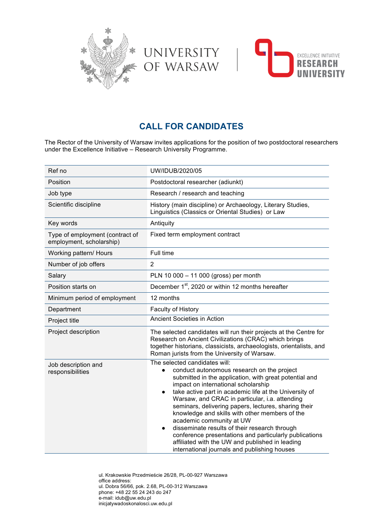



# **CALL FOR CANDIDATES**

UNIVERSITY<br>Of Warsaw

The Rector of the University of Warsaw invites applications for the position of two postdoctoral researchers under the Excellence Initiative – Research University Programme.

| Ref no                                                      | UW/IDUB/2020/05                                                                                                                                                                                                                                                                                                                                                                                                                                                                                                                                                                                                                                                        |
|-------------------------------------------------------------|------------------------------------------------------------------------------------------------------------------------------------------------------------------------------------------------------------------------------------------------------------------------------------------------------------------------------------------------------------------------------------------------------------------------------------------------------------------------------------------------------------------------------------------------------------------------------------------------------------------------------------------------------------------------|
| Position                                                    | Postdoctoral researcher (adiunkt)                                                                                                                                                                                                                                                                                                                                                                                                                                                                                                                                                                                                                                      |
| Job type                                                    | Research / research and teaching                                                                                                                                                                                                                                                                                                                                                                                                                                                                                                                                                                                                                                       |
| Scientific discipline                                       | History (main discipline) or Archaeology, Literary Studies,<br>Linguistics (Classics or Oriental Studies) or Law                                                                                                                                                                                                                                                                                                                                                                                                                                                                                                                                                       |
| Key words                                                   | Antiquity                                                                                                                                                                                                                                                                                                                                                                                                                                                                                                                                                                                                                                                              |
| Type of employment (contract of<br>employment, scholarship) | Fixed term employment contract                                                                                                                                                                                                                                                                                                                                                                                                                                                                                                                                                                                                                                         |
| Working pattern/ Hours                                      | Full time                                                                                                                                                                                                                                                                                                                                                                                                                                                                                                                                                                                                                                                              |
| Number of job offers                                        | $\overline{2}$                                                                                                                                                                                                                                                                                                                                                                                                                                                                                                                                                                                                                                                         |
| Salary                                                      | PLN 10 000 - 11 000 (gross) per month                                                                                                                                                                                                                                                                                                                                                                                                                                                                                                                                                                                                                                  |
| Position starts on                                          | December 1 <sup>st</sup> , 2020 or within 12 months hereafter                                                                                                                                                                                                                                                                                                                                                                                                                                                                                                                                                                                                          |
| Minimum period of employment                                | 12 months                                                                                                                                                                                                                                                                                                                                                                                                                                                                                                                                                                                                                                                              |
| Department                                                  | Faculty of History                                                                                                                                                                                                                                                                                                                                                                                                                                                                                                                                                                                                                                                     |
| Project title                                               | Ancient Societies in Action                                                                                                                                                                                                                                                                                                                                                                                                                                                                                                                                                                                                                                            |
| Project description                                         | The selected candidates will run their projects at the Centre for<br>Research on Ancient Civilizations (CRAC) which brings<br>together historians, classicists, archaeologists, orientalists, and<br>Roman jurists from the University of Warsaw.                                                                                                                                                                                                                                                                                                                                                                                                                      |
| Job description and<br>responsibilities                     | The selected candidates will:<br>conduct autonomous research on the project<br>submitted in the application, with great potential and<br>impact on international scholarship<br>take active part in academic life at the University of<br>$\bullet$<br>Warsaw, and CRAC in particular, i.a. attending<br>seminars, delivering papers, lectures, sharing their<br>knowledge and skills with other members of the<br>academic community at UW<br>disseminate results of their research through<br>$\bullet$<br>conference presentations and particularly publications<br>affiliated with the UW and published in leading<br>international journals and publishing houses |

ul. Krakowskie Przedmieście 26/28, PL-00-927 Warszawa office address: ul. Dobra 56/66, pok. 2.68, PL-00-312 Warszawa phone: +48 22 55 24 243 do 247 e-mail: idub@uw.edu.pl inicjatywadoskonalosci.uw.edu.pl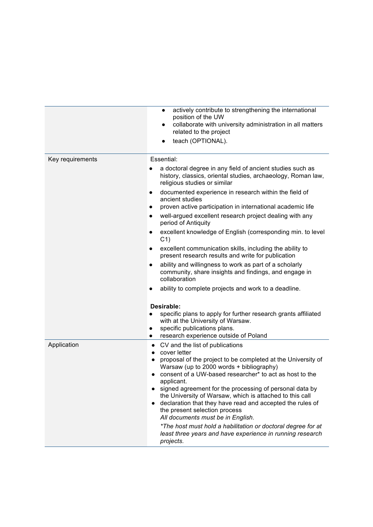|                  | actively contribute to strengthening the international<br>$\bullet$<br>position of the UW<br>collaborate with university administration in all matters<br>related to the project<br>teach (OPTIONAL).<br>$\bullet$                                                                                                                                                                                                                                                                                                                                                                                                                                                      |
|------------------|-------------------------------------------------------------------------------------------------------------------------------------------------------------------------------------------------------------------------------------------------------------------------------------------------------------------------------------------------------------------------------------------------------------------------------------------------------------------------------------------------------------------------------------------------------------------------------------------------------------------------------------------------------------------------|
| Key requirements | Essential:<br>a doctoral degree in any field of ancient studies such as<br>history, classics, oriental studies, archaeology, Roman law,<br>religious studies or similar<br>documented experience in research within the field of<br>ancient studies<br>proven active participation in international academic life<br>well-argued excellent research project dealing with any<br>period of Antiquity<br>excellent knowledge of English (corresponding min. to level<br>$\bullet$<br>C <sub>1</sub><br>excellent communication skills, including the ability to<br>present research results and write for publication                                                     |
|                  | ability and willingness to work as part of a scholarly<br>community, share insights and findings, and engage in<br>collaboration<br>ability to complete projects and work to a deadline.<br>Desirable:<br>specific plans to apply for further research grants affiliated<br>with at the University of Warsaw.<br>specific publications plans.<br>research experience outside of Poland                                                                                                                                                                                                                                                                                  |
| Application      | CV and the list of publications<br>cover letter<br>$\bullet$<br>proposal of the project to be completed at the University of<br>٠<br>Warsaw (up to 2000 words + bibliography)<br>consent of a UW-based researcher* to act as host to the<br>applicant.<br>signed agreement for the processing of personal data by<br>the University of Warsaw, which is attached to this call<br>declaration that they have read and accepted the rules of<br>$\bullet$<br>the present selection process<br>All documents must be in English.<br>*The host must hold a habilitation or doctoral degree for at<br>least three years and have experience in running research<br>projects. |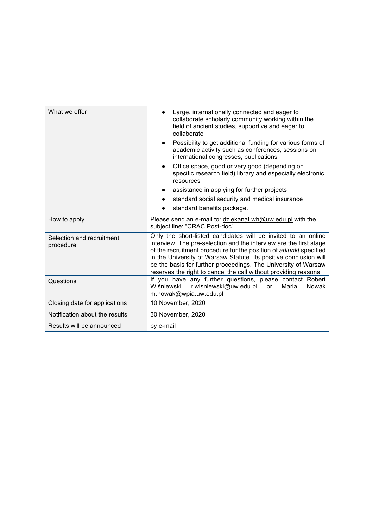| What we offer                          | Large, internationally connected and eager to<br>collaborate scholarly community working within the<br>field of ancient studies, supportive and eager to<br>collaborate                                                                                                                                                                                                                                              |
|----------------------------------------|----------------------------------------------------------------------------------------------------------------------------------------------------------------------------------------------------------------------------------------------------------------------------------------------------------------------------------------------------------------------------------------------------------------------|
|                                        | Possibility to get additional funding for various forms of<br>academic activity such as conferences, sessions on<br>international congresses, publications                                                                                                                                                                                                                                                           |
|                                        | Office space, good or very good (depending on<br>specific research field) library and especially electronic<br>resources                                                                                                                                                                                                                                                                                             |
|                                        | assistance in applying for further projects                                                                                                                                                                                                                                                                                                                                                                          |
|                                        | standard social security and medical insurance                                                                                                                                                                                                                                                                                                                                                                       |
|                                        | standard benefits package.                                                                                                                                                                                                                                                                                                                                                                                           |
| How to apply                           | Please send an e-mail to: dziekanat.wh@uw.edu.pl with the<br>subject line: "CRAC Post-doc"                                                                                                                                                                                                                                                                                                                           |
| Selection and recruitment<br>procedure | Only the short-listed candidates will be invited to an online<br>interview. The pre-selection and the interview are the first stage<br>of the recruitment procedure for the position of adiunkt specified<br>in the University of Warsaw Statute. Its positive conclusion will<br>be the basis for further proceedings. The University of Warsaw<br>reserves the right to cancel the call without providing reasons. |
| Questions                              | If you have any further questions, please contact Robert<br>Wiśniewski<br>r.wisniewski@uw.edu.pl<br>Maria<br><b>Nowak</b><br><b>or</b><br>m.nowak@wpia.uw.edu.pl                                                                                                                                                                                                                                                     |
| Closing date for applications          | 10 November, 2020                                                                                                                                                                                                                                                                                                                                                                                                    |
| Notification about the results         | 30 November, 2020                                                                                                                                                                                                                                                                                                                                                                                                    |
| Results will be announced              | by e-mail                                                                                                                                                                                                                                                                                                                                                                                                            |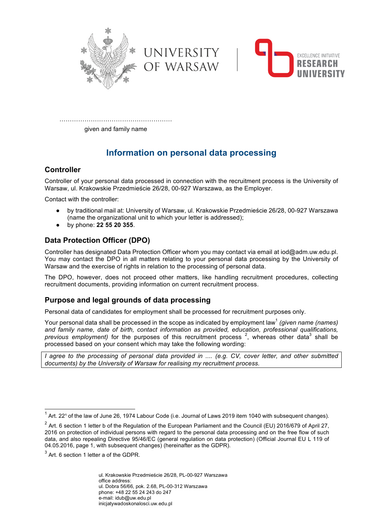



………………………………………………

given and family name

# **Information on personal data processing**

### **Controller**

Controller of your personal data processed in connection with the recruitment process is the University of Warsaw, ul. Krakowskie Przedmieście 26/28, 00-927 Warszawa, as the Employer.

Contact with the controller:

- by traditional mail at: University of Warsaw, ul. Krakowskie Przedmieście 26/28, 00-927 Warszawa (name the organizational unit to which your letter is addressed);
- by phone: **22 55 20 355**.

## **Data Protection Officer (DPO)**

Controller has designated Data Protection Officer whom you may contact via email at iod@adm.uw.edu.pl. You may contact the DPO in all matters relating to your personal data processing by the University of Warsaw and the exercise of rights in relation to the processing of personal data.

The DPO, however, does not proceed other matters, like handling recruitment procedures, collecting recruitment documents, providing information on current recruitment process.

## **Purpose and legal grounds of data processing**

Personal data of candidates for employment shall be processed for recruitment purposes only.

Your personal data shall be processed in the scope as indicated by employment law<sup>1</sup> *(given name (names) and family name, date of birth, contact information as provided, education, professional qualifications,*  previous employment) for the purposes of this recruitment process <sup>2</sup>, whereas other data<sup>3</sup> shall be processed based on your consent which may take the following wording:

*I agree to the processing of personal data provided in .... (e.g. CV, cover letter, and other submitted documents) by the University of Warsaw for realising my recruitment process.*

ul. Krakowskie Przedmieście 26/28, PL-00-927 Warszawa office address: ul. Dobra 56/66, pok. 2.68, PL-00-312 Warszawa phone: +48 22 55 24 243 do 247 e-mail: idub@uw.edu.pl inicjatywadoskonalosci.uw.edu.pl

 $1$  Art. 22<sup>1</sup> of the law of June 26, 1974 Labour Code (i.e. Journal of Laws 2019 item 1040 with subsequent changes).

 $2$  Art. 6 section 1 letter b of the Regulation of the European Parliament and the Council (EU) 2016/679 of April 27, 2016 on protection of individual persons with regard to the personal data processing and on the free flow of such data, and also repealing Directive 95/46/EC (general regulation on data protection) (Official Journal EU L 119 of 04.05.2016, page 1, with subsequent changes) (hereinafter as the GDPR).

 $3$  Art. 6 section 1 letter a of the GDPR.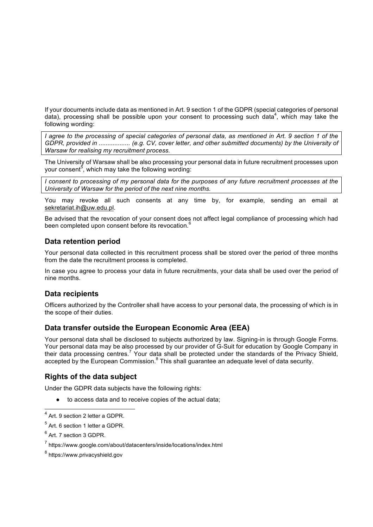If your documents include data as mentioned in Art. 9 section 1 of the GDPR (special categories of personal data), processing shall be possible upon your consent to processing such data<sup>4</sup>, which may take the following wording:

*I agree to the processing of special categories of personal data, as mentioned in Art. 9 section 1 of the GDPR, provided in .....................* (e.g. CV, cover letter, and other submitted documents) by the University of *Warsaw for realising my recruitment process.*

The University of Warsaw shall be also processing your personal data in future recruitment processes upon your consent<sup>5</sup>, which may take the following wording:

*I consent to processing of my personal data for the purposes of any future recruitment processes at the University of Warsaw for the period of the next nine months.*

You may revoke all such consents at any time by, for example, sending an email at sekretariat.ih@uw.edu.pl.

Be advised that the revocation of your consent does not affect legal compliance of processing which had been completed upon consent before its revocation.<sup>6</sup>

### **Data retention period**

Your personal data collected in this recruitment process shall be stored over the period of three months from the date the recruitment process is completed.

In case you agree to process your data in future recruitments, your data shall be used over the period of nine months.

### **Data recipients**

Officers authorized by the Controller shall have access to your personal data, the processing of which is in the scope of their duties.

#### **Data transfer outside the European Economic Area (EEA)**

Your personal data shall be disclosed to subjects authorized by law. Signing-in is through Google Forms. Your personal data may be also processed by our provider of G-Suit for education by Google Company in their data processing centres.<sup>7</sup> Your data shall be protected under the standards of the Privacy Shield, accepted by the European Commission.<sup>8</sup> This shall quarantee an adequate level of data security.

### **Rights of the data subject**

Under the GDPR data subjects have the following rights:

● to access data and to receive copies of the actual data;

 $<sup>5</sup>$  Art. 6 section 1 letter a GDPR.</sup>

 <sup>4</sup> Art. 9 section 2 letter a GDPR.

<sup>6</sup> Art. 7 section 3 GDPR.

<sup>7</sup> https://www.google.com/about/datacenters/inside/locations/index.html

<sup>8</sup> https://www.privacyshield.gov